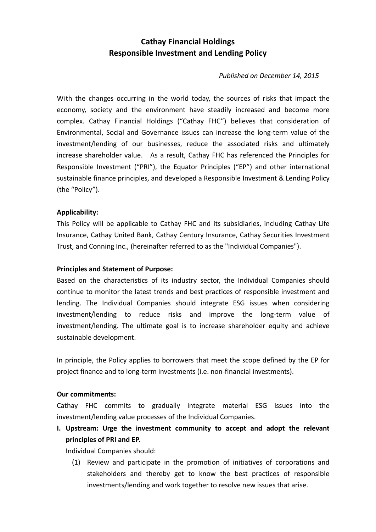# **Cathay Financial Holdings Responsible Investment and Lending Policy**

*Published on December 14, 2015*

With the changes occurring in the world today, the sources of risks that impact the economy, society and the environment have steadily increased and become more complex. Cathay Financial Holdings ("Cathay FHC") believes that consideration of Environmental, Social and Governance issues can increase the long‐term value of the investment/lending of our businesses, reduce the associated risks and ultimately increase shareholder value. As a result, Cathay FHC has referenced the Principles for Responsible Investment ("PRI"), the Equator Principles ("EP") and other international sustainable finance principles, and developed a Responsible Investment & Lending Policy (the "Policy").

### **Applicability:**

This Policy will be applicable to Cathay FHC and its subsidiaries, including Cathay Life Insurance, Cathay United Bank, Cathay Century Insurance, Cathay Securities Investment Trust, and Conning Inc., (hereinafter referred to as the "Individual Companies").

### **Principles and Statement of Purpose:**

Based on the characteristics of its industry sector, the Individual Companies should continue to monitor the latest trends and best practices of responsible investment and lending. The Individual Companies should integrate ESG issues when considering investment/lending to reduce risks and improve the long-term value of investment/lending. The ultimate goal is to increase shareholder equity and achieve sustainable development.

In principle, the Policy applies to borrowers that meet the scope defined by the EP for project finance and to long‐term investments (i.e. non‐financial investments).

### **Our commitments:**

Cathay FHC commits to gradually integrate material ESG issues into the investment/lending value processes of the Individual Companies.

**I. Upstream: Urge the investment community to accept and adopt the relevant principles of PRI and EP.** 

Individual Companies should:

(1) Review and participate in the promotion of initiatives of corporations and stakeholders and thereby get to know the best practices of responsible investments/lending and work together to resolve new issues that arise.